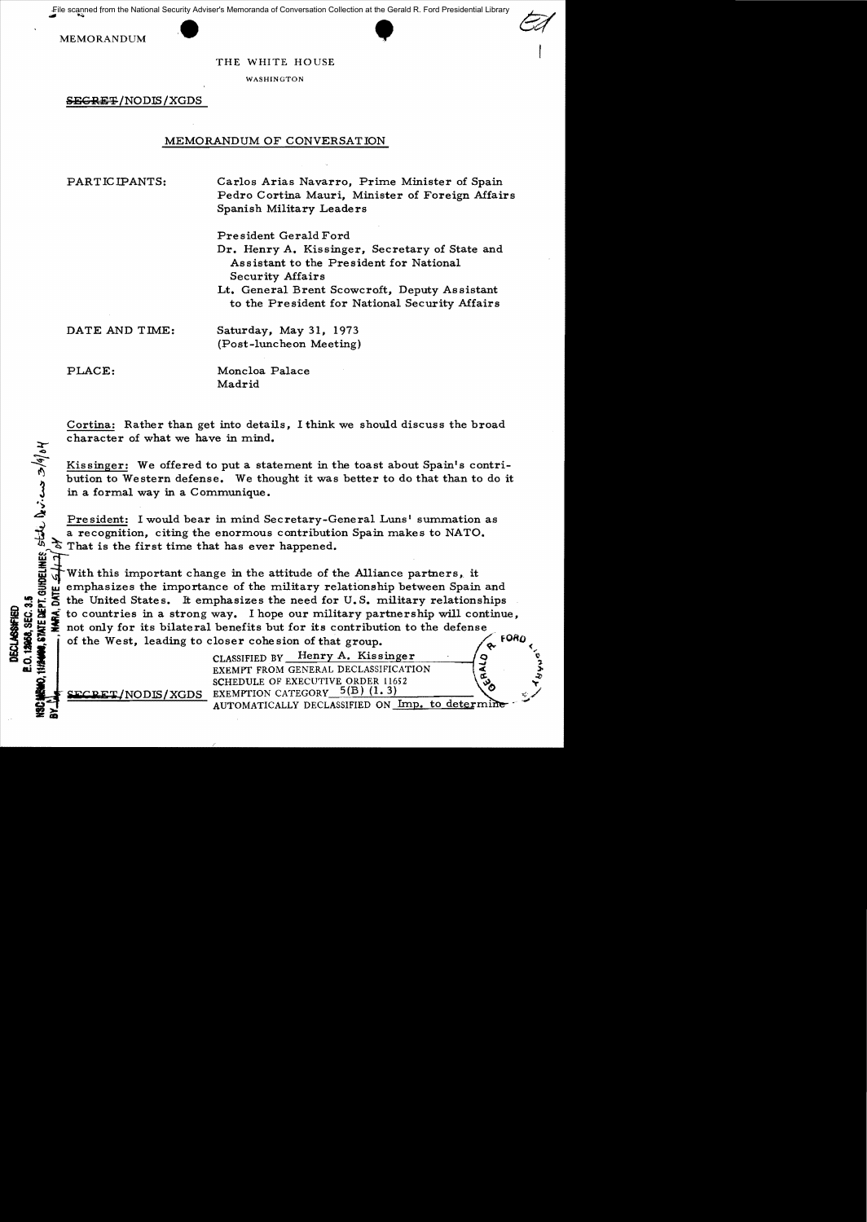File scanned from the National Security Adviser's Memoranda of Conversation Collection at the Gerald R. Ford Presidential Library

**MEMORANDUM** 



THE WHITE HOUSE

WASHINGTON

**SEGRET/NODIS/XGDS** 

# MEMORANDUM OF CONVERSATION

PARTICIPANTS:

Carlos Arias Navarro. Prime Minister of Spain Pedro Cortina Mauri, Minister of Foreign Affairs Spanish Military Leaders

President Gerald Ford

Dr. Henry A. Kissinger. Secretary of State and Assistant to the President for National **Security Affairs** 

Lt. General Brent Scowcroft, Deputy Assistant to the President for National Security Affairs

DATE AND TIME:

Saturday, May 31, 1973 (Post-luncheon Meeting)

PLACE:

STATE DEPT. GUIDELINES, STATE DUVILAS  $3/6/64$ 

12958, SEC. 3.5

**ECLASSIFIED** 

DATE.

Moncloa Palace Madrid

Cortina: Rather than get into details. I think we should discuss the broad character of what we have in mind.

Kissinger: We offered to put a statement in the toast about Spain's contribution to Western defense. We thought it was better to do that than to do it in a formal way in a Communique.

President: I would bear in mind Secretary-General Luns' summation as a recognition, citing the enormous contribution Spain makes to NATO. That is the first time that has ever happened.

With this important change in the attitude of the Alliance partners, it emphasizes the importance of the military relationship between Spain and the United States. It emphasizes the need for U.S. military relationships to countries in a strong way. I hope our military partnership will continue, not only for its bilateral benefits but for its contribution to the defense of the West. leading to closer cohesion of that group. ó,

> CLASSIFIED BY Henry A. Kissinger EXEMPT FROM GENERAL DECLASSIFICATION SCHEDULE OF EXECUTIVE ORDER 11652 NODIS/XGDS EXEMPTION CATEGORY 5(B) (1.3)

AUTOMATICALLY DECLASSIFIED ON Imp. to determine

9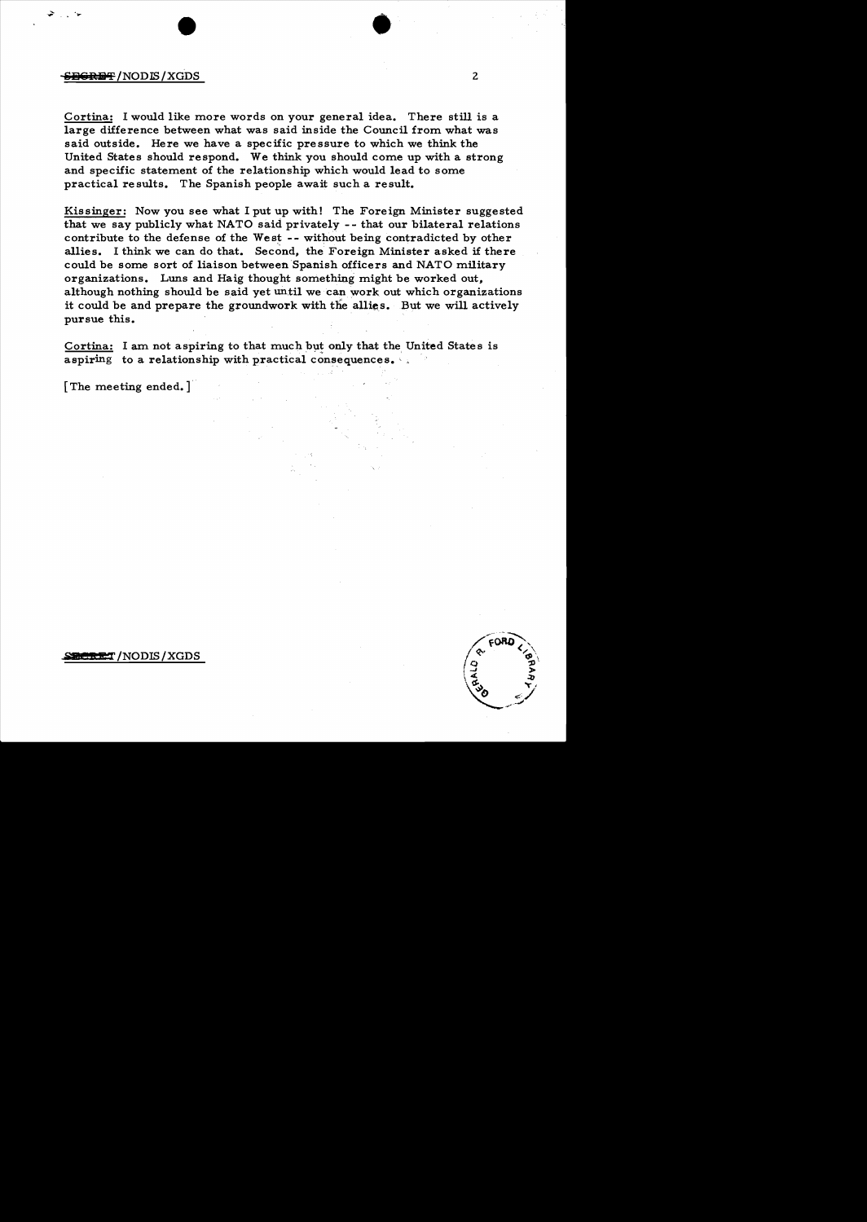## **element** / NOD**IS** / XGDS **2**

Cortina: I would like more words on your general idea. There still is a large difference between what was said inside the Council from what was said outside. Here we have a specific pressure to which we think the United States should respond. We think you should come up with a strong and specific statement of the relationship which would lead to some practical results. The Spanish people await such a result.

Kissinger: Now you see what I put up with! The Foreign Minister suggested that we say publicly what NATO said privately - - that our bilateral relations contribute to the defense of the West  $-$ - without being contradicted by other allies. I think we can do that. Second, the Foreign Minister asked if there could be some sort of liaison between Spanish officers and NATO military organizations. Luns and Haig thought something might be worked out, although nothing should be said yet until we can work out which organizations it could be and prepare the groundwork with the allies. But we will actively pursue this.

Cortina: I am not aspiring to that much but only that the United States is aspiring to a relationship with practical consequences.

[The meeting ended.]

## **BERET** /NODIS / XGDS

•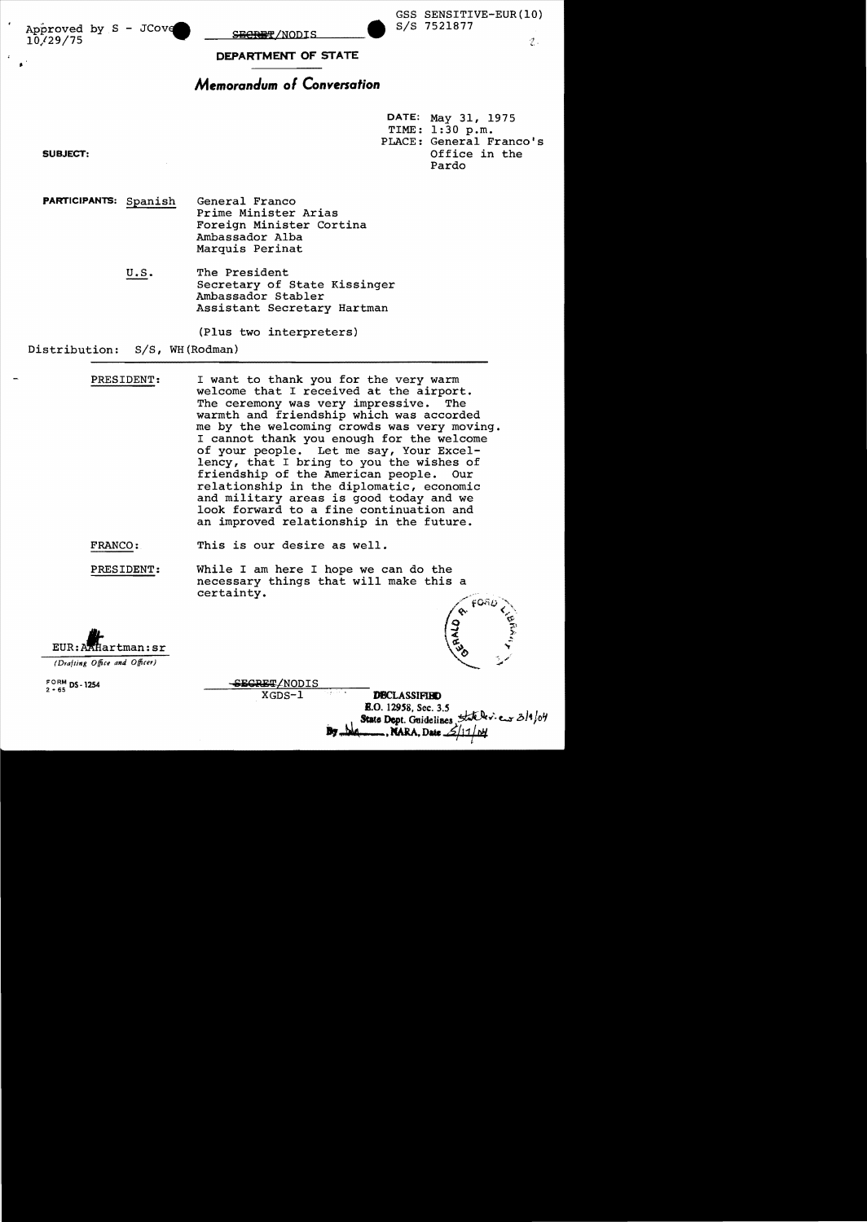Approved by S - JCove 10/29/75

<del>ECRET</del>/NODIS

SIS 7521877 GSS SENSITIVE-EUR(lO)

 $\mathcal{I}$ .

**DEPARTMENT OF STATE** 

# **Memorandum 01 Conversation**

DATE: May 31, 1975 TIME: 1:30 p.m. PLACE: General Franco's **SUBJECT:**  $\qquad \qquad$  Office in the Pardo

•

**PARTICIPANTS:** Spanish General Franco Prime Minister Arias Foreign Minister Cortina Ambassador Alba Marquis Perinat

> U.S. The President Secretary of State Kissinger Ambassador Stabler Assistant Secretary Hartman

> > (Plus two interpreters)

Distribution: S/S, WH(Rodman)

PRESIDENT: I want to thank you for the very warm welcome that I received at the airport. The ceremony was very impressive. The warmth and friendship which was accorded me by the welcoming crowds was very moving. I cannot thank you enough for the welcome of your people. Let me say, Your Excellency, that I bring to you the wishes of friendship of the American people. Our relationship in the diplomatic, economic and military areas is good today and we look forward to a fine continuation and an improved relationship in the future.

FRANCO: This is our desire as well.

PRESIDENT: While I am here I hope we can do the necessary things that will make this a certainty.

EUR: AAHartman:sr

*(Drafting Office and Offi(er)* 

FORM **DS-1254**<br>2 - 65

SECRET/NODIS

XGDS-1 **DBCLASSIFIND**<br>**E.O.** 12958, Sec. 3.5 State Dept. Guidelines *State Dev.* eur 3/1/04 **2. . NARA, Date** *1*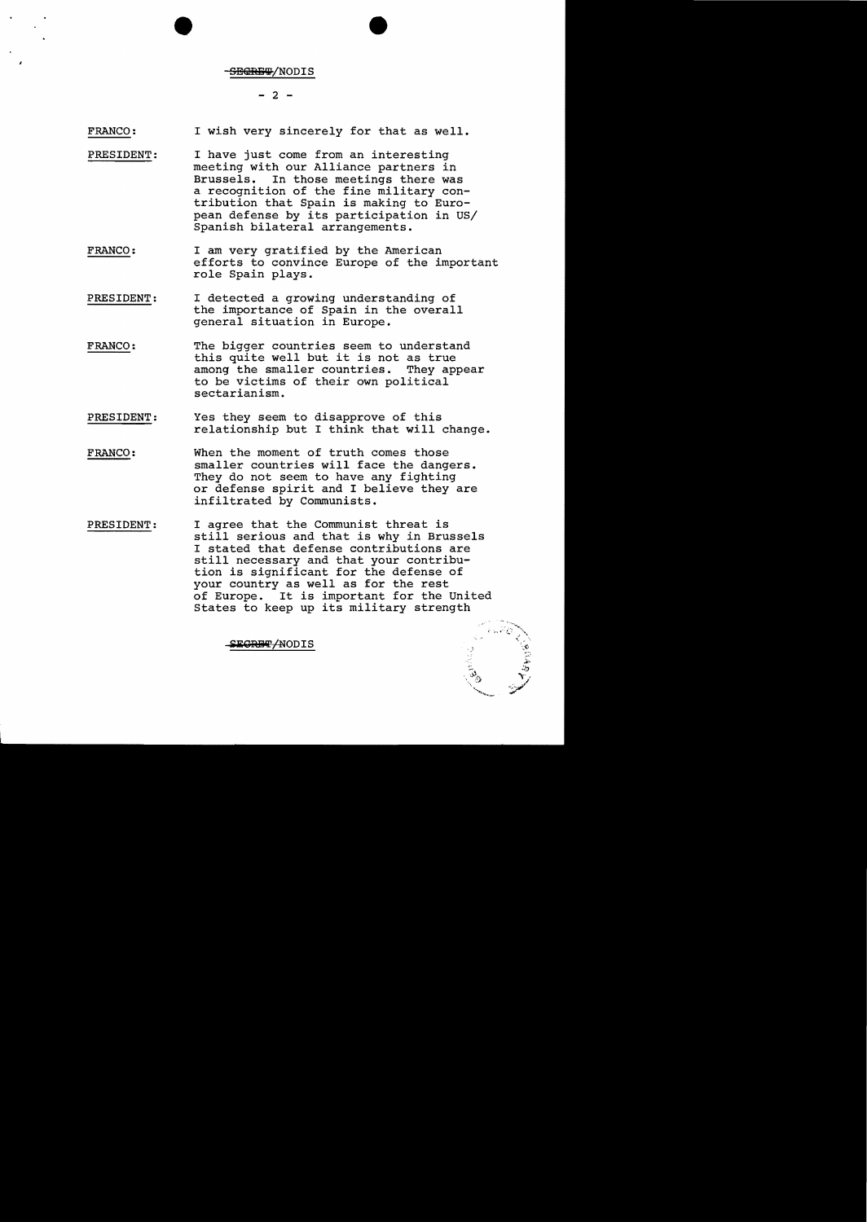#### -<del>SECRET</del>/NODIS

# $- 2 -$

FRANCO: I wish very sincerely for that as well.

- PRESIDENT: I have just come from an interesting meeting with our Alliance partners in Brussels. In those meetings there was a recognition of the fine military contribution that Spain is making to European defense by its participation in US/ Spanish bilateral arrangements.
- FRANCO: I am very gratified by the American efforts to convince Europe of the important role Spain plays.
- PRESIDENT: I detected a growing understanding of the importance of Spain in the overall general situation in Europe.
- FRANCO: The bigger countries seem to understand this quite well but it is not as true among the smaller countries. They appear to be victims of their own political sectarianism.
- PRESIDENT: Yes they seem to disapprove of this relationship but I think that will change.
- FRANCO: When the moment of truth comes those smaller countries will face the dangers. They do not seem to have any fighting or defense spirit and I believe they are infiltrated by Communists.
- PRESIDENT: I agree that the Communist threat is still serious and that is why in Brussels I stated that defense contributions are still necessary and that your contribution is significant for the defense of your country as well as for the rest of Europe. It is important for the united States to keep up its military strength

.~,.' ....' .~  $\ddot{\tau}$ **Y / Walnut** 

SE<del>CRET/</del>NODIS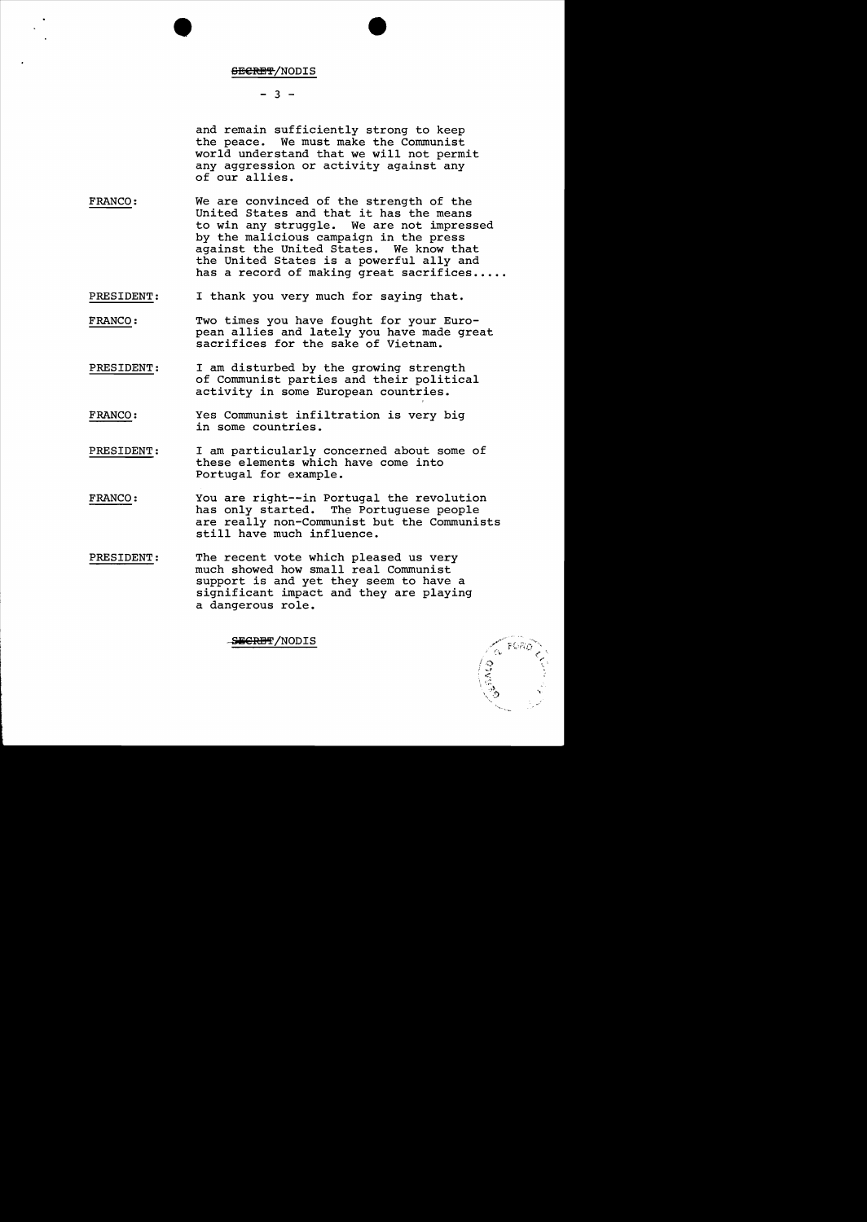#### <del>SECRET</del>/NODIS

# $- 3 -$

and remain sufficiently strong to keep the peace. We must make the Communist world understand that we will not permit any aggression or activity against any of our allies.

- FRANCO: We are convinced of the strength of the United States and that it has the means to win any struggle. We are not impressed by the malicious campaign in the press against the United States. We know that the United States is a powerful ally and has a record of making great sacrifices.....
- PRESIDENT: I thank you very much for saying that.
- FRANCO: Two times you have fought for your European allies and lately you have made great sacrifices for the sake of Vietnam.
- PRESIDENT: I am disturbed by the growing strength of Communist parties and their political activity in some European countries.
- FRANCO: Yes Communist infiltration is very big in some countries.
- PRESIDENT: I am particularly concerned about some of these elements which have come into Portugal for example.
- FRANCO: You are right--in Portugal the revolution has only started. The Portuguese people are really non-Communist but the Communists still have much influence.
- PRESIDENT: The recent vote which pleased us very much showed how small real Communist support is and yet they seem to have a significant impact and they are playing a dangerous role.

SEGREFI/NODIS

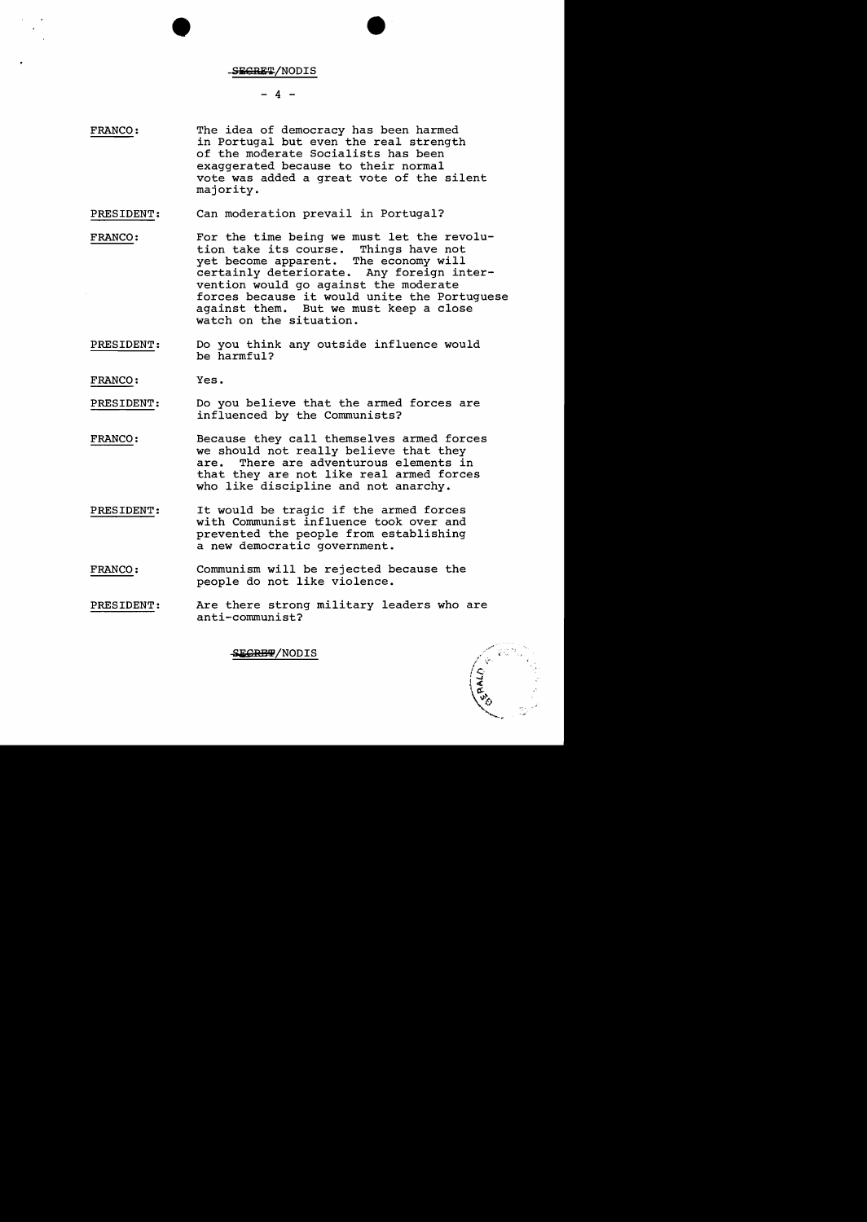# SEGRET/NODIS

 $-4$  -

- FRANCO: The idea of democracy has been harmed in Portugal but even the real strength of the moderate Socialists has been exaggerated because to their normal vote was added a great vote of the silent majority.
- PRESIDENT: Can moderation prevail in Portugal?
- FRANCO: For the time being we must let the revolu-<br>tion take its course. Things have not tion take its course. Things have not<br>yet become apparent. The economy will yet become apparent. certainly deteriorate. Any foreign intervention would go against the moderate forces because it would unite the Portuguese against them. But we must keep a close watch on the situation.
- PRESIDENT: Do you think any outside influence would be harmful?

FRANCO: Yes.

- PRESIDENT: Do you believe that the armed forces are influenced by the Communists?
- FRANCO: Because they call themselves armed forces we should not really believe that they are. There are adventurous elements in that they are not like real armed forces who like discipline and not anarchy.
- PRESIDENT: It would be tragic if the armed forces with Communist influence took over and prevented the people from establishing a new democratic government.
- FRANCO: Communism will be rejected because the people do not like violence.
- PRESIDENT: Are there strong military leaders who are anti-communist?

SEGRE#/NODIS

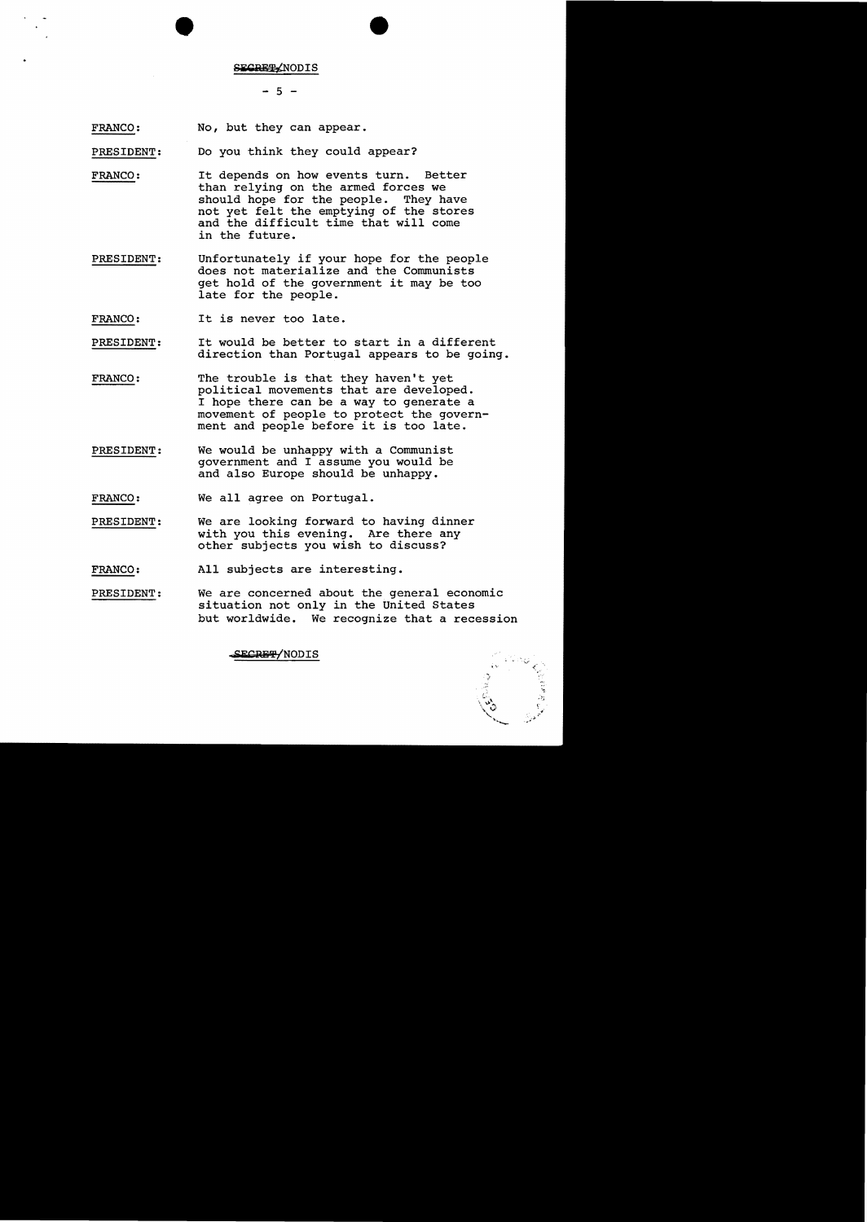#### SECRET/NODIS

 $-5 -$ 

FRANCO: No, but they can appear.

PRESIDENT: Do you think they could appear?

FRANCO: It depends on how events turn. Better than relying on the armed forces we should hope for the people. They have not yet felt the emptying of the stores and the difficult time that will come in the future.

PRESIDENT: Unfortunately if your hope for the people does not materialize and the Communists get hold of the government it may be too late for the people.

FRANCO: It is never too late.

- PRESIDENT: It would be better to start in a different direction than Portugal appears to be going.
- FRANCO: The trouble is that they haven't yet political movements that are developed. I hope there can be a way to generate a movement of people to protect the government and people before it is too late.
- PRESIDENT: We would be unhappy with a Communist government and I assume you would be and also Europe should be unhappy.

FRANCO: We all agree on Portugal.

PRESIDENT: We are looking forward to having dinner with you this evening. Are there any other subjects you wish to discuss?

FRANCO: All subjects are interesting.

PRESIDENT: We are concerned about the general economic situation not only in the United States but worldwide. We recognize that a recession

**SECRETY NODIS**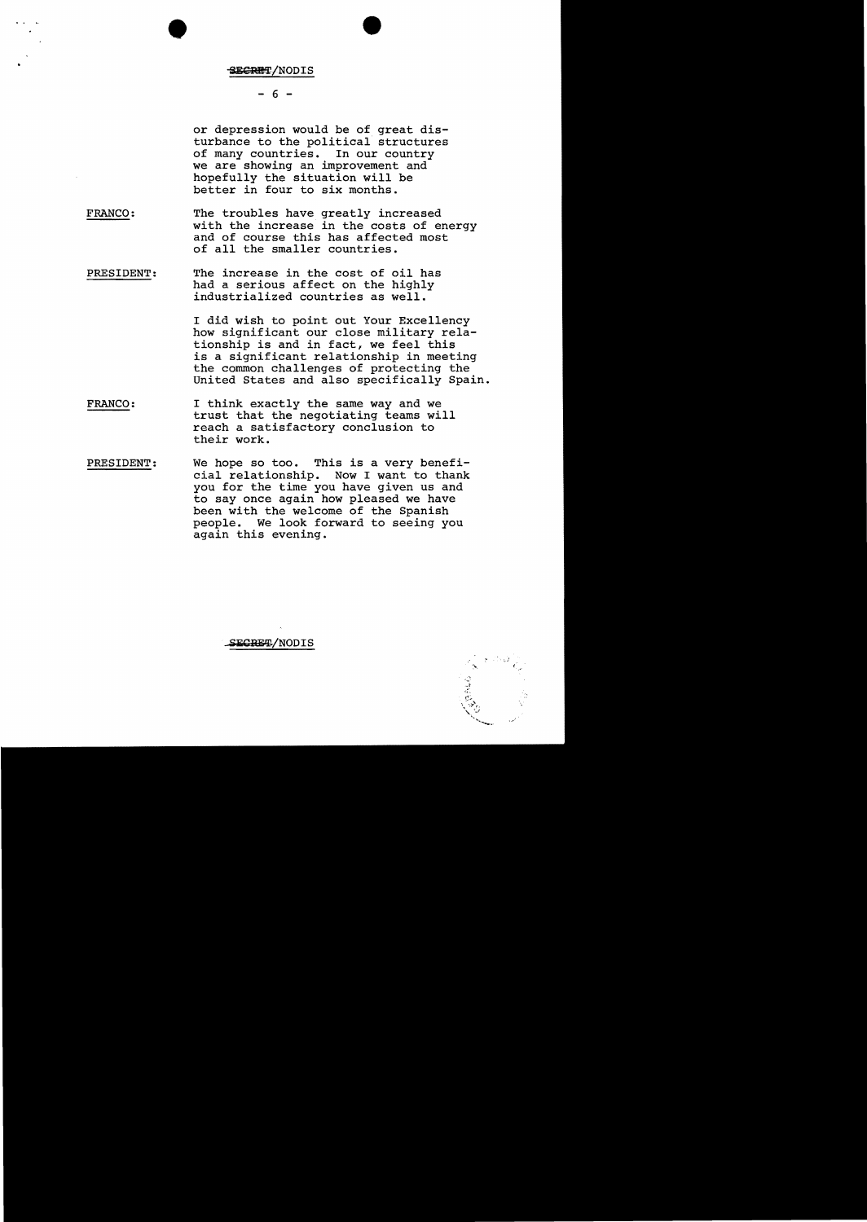# •

# $- 6 -$

or depression would be of great disturbance to the political structures of many countries. In our country we are showing an improvement and hopefully the situation will be better in four to six months.

- FRANCO: The troubles have greatly increased with the increase in the costs of energy and of course this has affected most of all the smaller countries.
- PRESIDENT: The increase in the cost of oil has had a serious affect on the highly industrialized countries as well.

I did wish to point out Your Excellency how significant our close military relationship is and in fact, we feel this is a significant relationship in meeting the common challenges of protecting the united States and also specifically Spain.

- FRANCO: I think exactly the same way and we trust that the negotiating teams will reach a satisfactory conclusion to their work.
- PRESIDENT: We hope so too. This is a very beneficial relationship. Now I want to thank you for the time you have given us and to say once again how pleased we have been with the welcome of the Spanish people. We look forward to seeing you again this evening.

SECRET/NODIS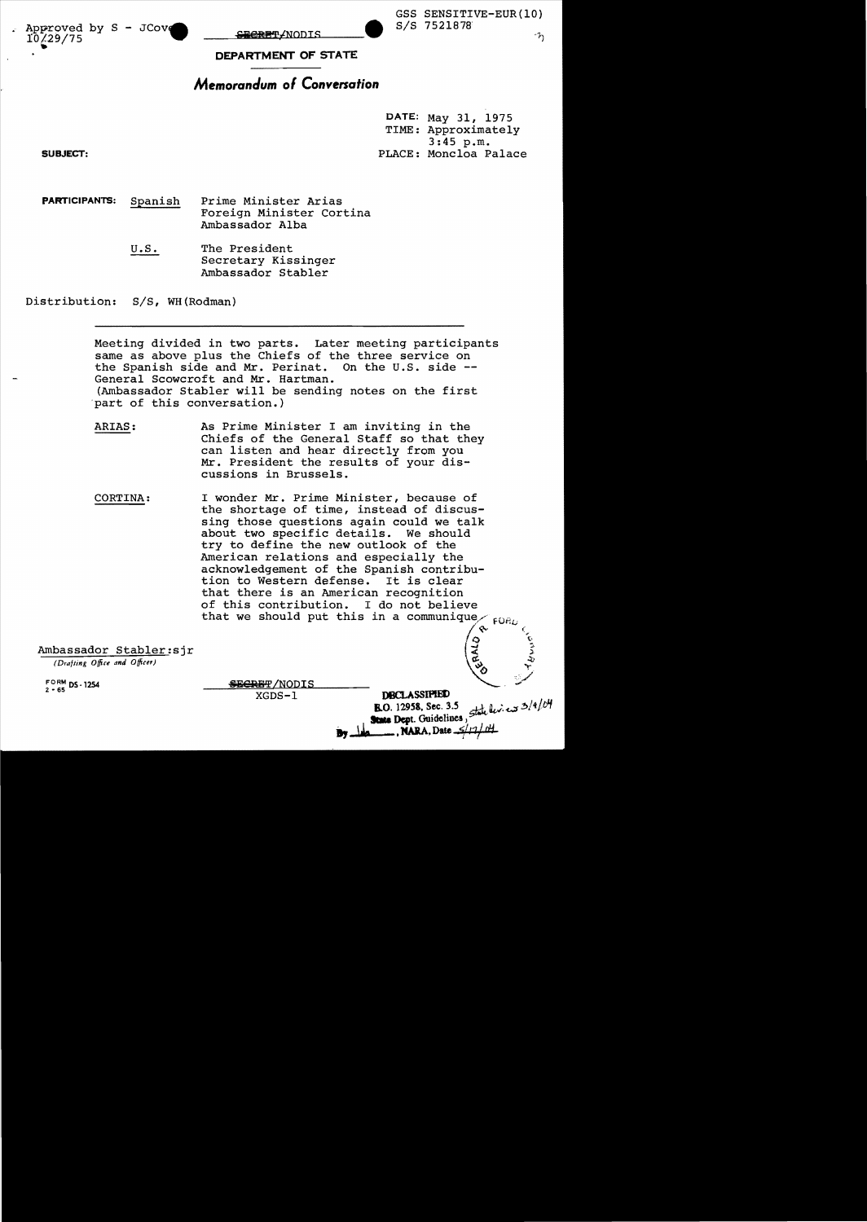Approved by S - JCove<br>10/29/75 rot29/75 .. ... SIS 7521878'

GSS SENSITIVE-EUR(10)<br>S/S 7521878

 $h$ 

**DEPARTMENT OF** STATE

# **MemoranJum** *01* **Conversation**

DATE: May 31, 1975 TIME: Approximately 3:45 p.m. SUBJECT: PLACE: Moncloa Palace

PARTICIPANTS: Spanish Prime Minister Arias Foreign Minister cortina Ambassador Alba

> U.S. The President Secretary Kissinger Ambassador Stabler

Distribution: S/S, WH(Rodman)

Meeting divided in two parts. Later meeting participants same as above plus the Chiefs of the three service on the Spanish side and Mr. Perinat. On the U.S. side - General Scowcroft and Mr. Hartman. (Ambassador Stabler will be sending notes on the first 'part of this conversation.)

- ARIAS: As Prime Minister I am inviting in the Chiefs of the General Staff so that they can listen and hear directly from you Mr. President the results of your discussions in Brussels.
- CORTINA: I wonder Mr. Prime Minister, because of the shortage of time, instead of discussing those questions again could we talk about two specific details. We should try to define the new outlook of the American relations and especially the acknowledgement of the Spanish contribution to Western defense. It is clear that there is an American recognition of this contribution. I do not believe that we should put this in a FOR

Ambassador Stabler:sjr

*(Drafting Office and Officer)* 

FORM DS-1254<br>2 - 65

SECRET/NODIS

 $XGDS-1$  **DBCLASSIPIED**<br> **B.O.** 12958, Sec. 3.5  $\frac{1}{2}$  :  $\frac{1}{2}$  :  $\frac{1}{2}$  :  $\frac{1}{2}$  :  $\frac{1}{2}$  :  $\frac{1}{2}$ **By** June Dept. Guidences,<br>**By** June 7, NARA, Date  $\frac{2}{11}$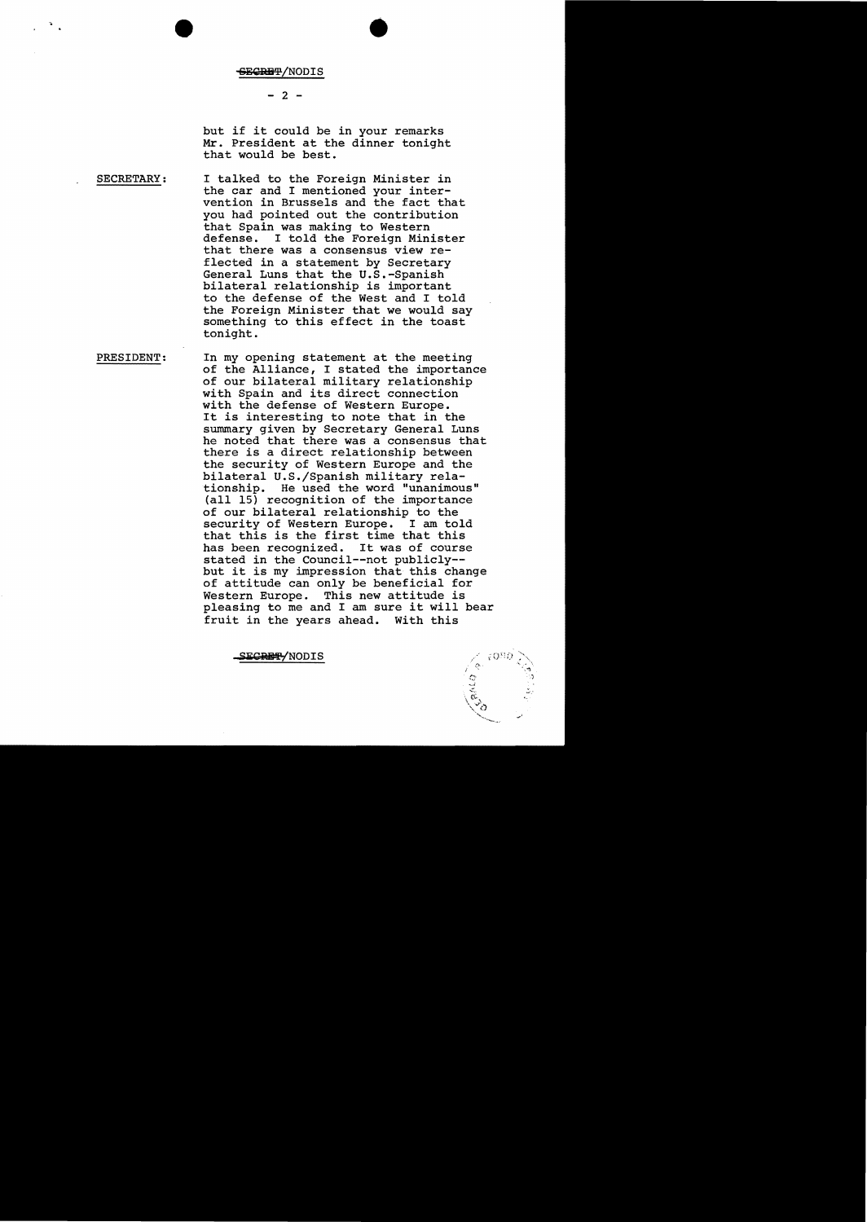## $- 2 -$

but if it could be in your remarks Mr. President at the dinner tonight that would be best.

•

SECRETARY: I talked to the Foreign Minister in the car and I mentioned your intervention in Brussels and the fact that you had pointed out the contribution that Spain was making to Western I told the Foreign Minister that there was a consensus view reflected in a statement by Secretary General Luns that the U.S.-Spanish bilateral relationship is important to the defense of the West and I told the Foreign Minister that we would say something to this effect in the toast tonight.

PRESIDENT: In my opening statement at the meeting of the Alliance, I stated the importance of our bilateral military relationship with Spain and its direct connection with the defense of Western Europe. It is interesting to note that in the summary given by Secretary General Luns he noted that there was a consensus that there is a direct relationship between the security of Western Europe and the bilateral U.S./Spanish military relationship. He used the word "unanimous" (all 15) recognition of the importance of our bilateral relationship to the security of Western Europe. I am told that this is the first time that this<br>has been recognized. It was of course has been recognized. stated in the Council--not publicly but it is my impression that this change of attitude can only be beneficial for Western Europe. This new attitude is pleasing to me and I am sure it will bear<br>fruit in the years ahead. With this fruit in the years ahead.

SE<del>CRET/</del>NODIS

 $\ddot{\circ}$ ......,..  $\setminus$   $\heartsuit$  ,  $\searrow$  9. ~''''''--~'.~.'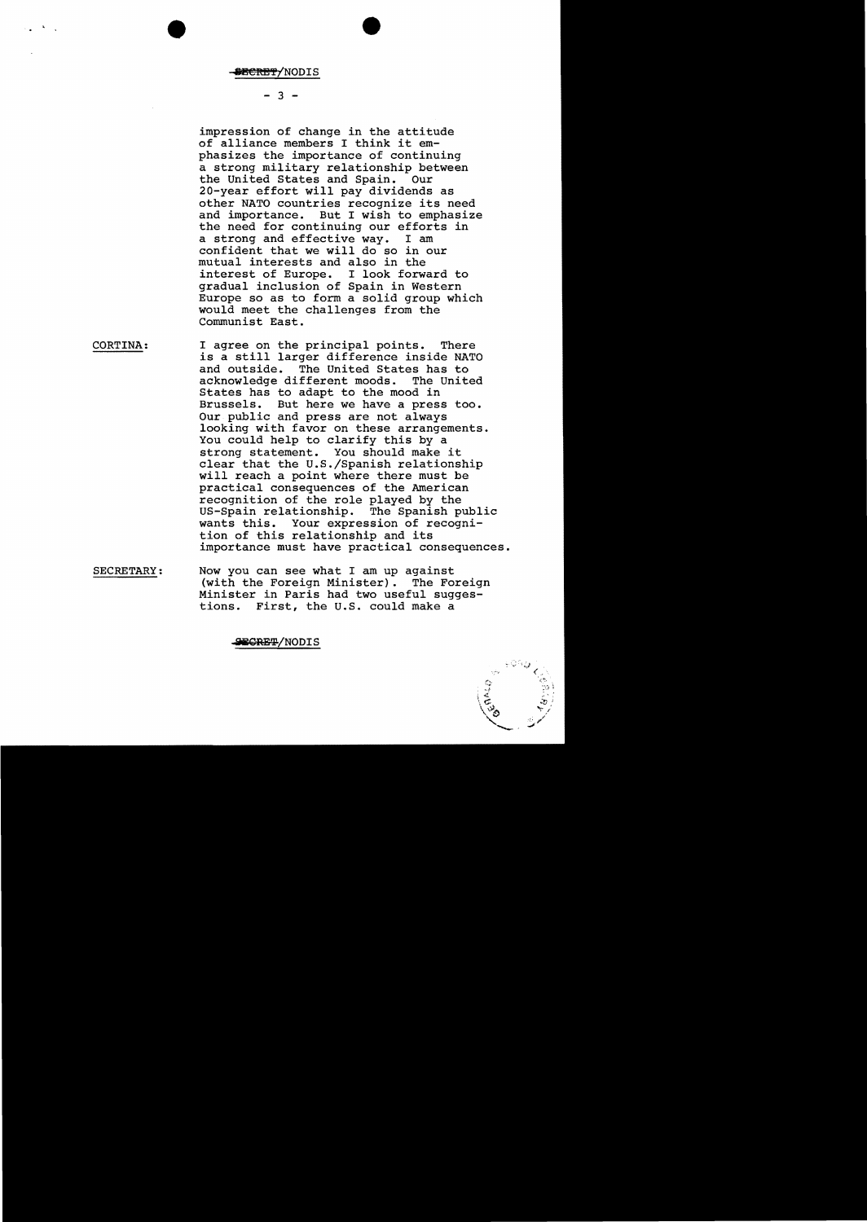, .

#### $- 3 -$

impression of change in the attitude of alliance members I think it emphasizes the importance of continuing a strong military relationship between<br>the United States and Spain. Our the United States and Spain. 20-year effort will pay dividends as other NATO countries recognize its need and importance. But I wish to emphasize the need for continuing our efforts in<br>a strong and effective way. I am a strong and effective way. confident that we will do so in our mutual interests and also in the interest of Europe. I look forward to gradual inclusion of Spain in western Europe so as to form a solid group which would meet the challenges from the Communist East.

- CORTINA: I agree on the principal points. There is a still larger difference inside NATO and outside. The United States has to acknowledge different moods. States has to adapt to the mood in Brussels. But here we have a press too. Our public and press are not always looking with favor on these arrangements. You could help to clarify this by a strong statement. You should make it clear that the U.S./Spanish relationship will reach a point where there must be practical consequences of the American recognition of the role played by the US-Spain relationship. The Spanish public wants this. Your expression of recognition of this relationship and its importance must have practical consequences.
- SECRETARY: Now you can see what I am up against (with the Foreign Minister). The Foreign Minister in Paris had two useful suggestions. First, the U.S. could make a

#### SECRET/NODIS

'j".)  $\zeta^{\frac{1}{2}}$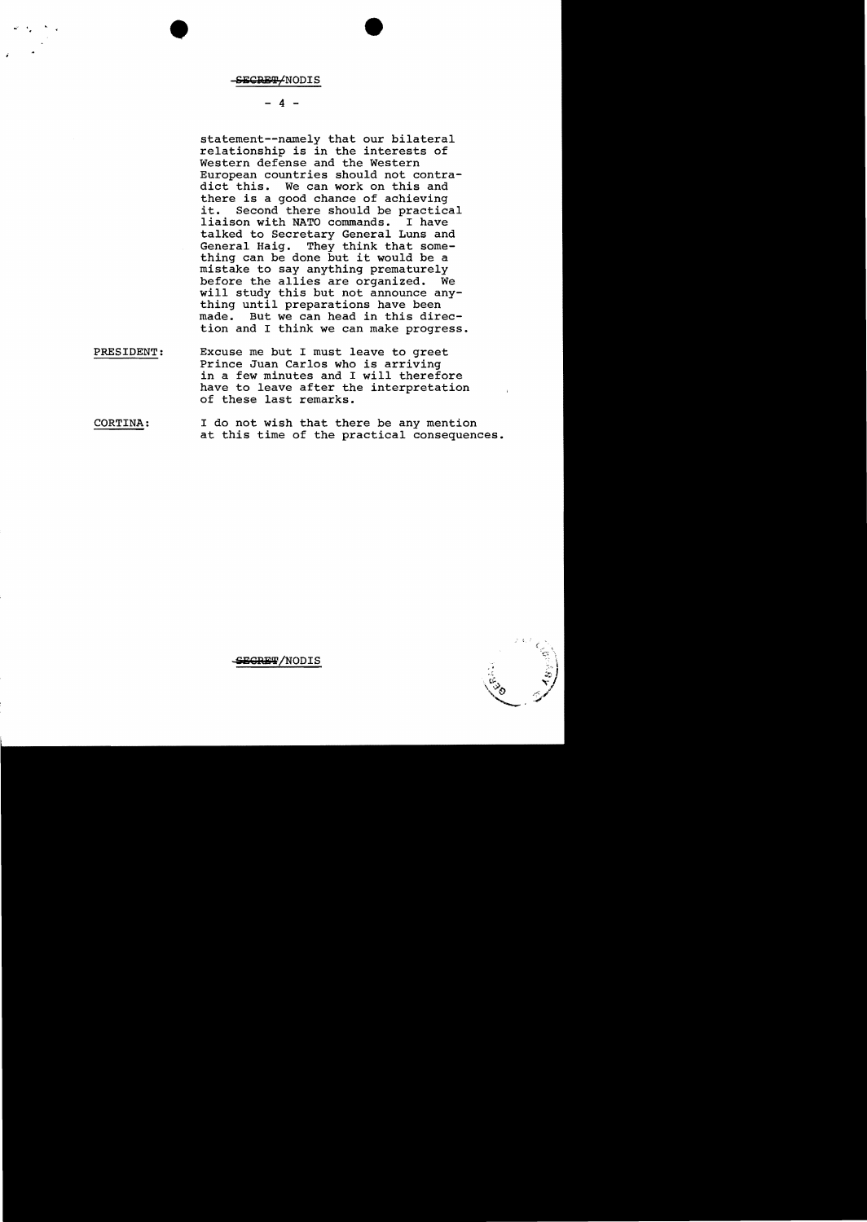.. •

#### $4 -$

statement--namely that our bilateral relationship is in the interests of Western defense and the Western European countries should not contradict this. We can work on this and there is a good chance of achieving it. Second there should be practical<br>liaison with NATO commands. I have liaison with NATO commands. talked to Secretary General Luns and General Haig. They think that something can be done but it would be a mistake to say anything prematurely before the allies are organized. We will study this but not announce anything until preparations have been<br>made. But we can head in this dire But we can head in this direction and I think we can make progress.

- PRESIDENT: Excuse me but I must leave to greet Prince Juan Carlos who is arriving in a few minutes and I will therefore have to leave after the interpretation of these last remarks.
- CORTINA: I do not wish that there be any mention at this time of the practical consequences.



<del>SECRET</del>/NODIS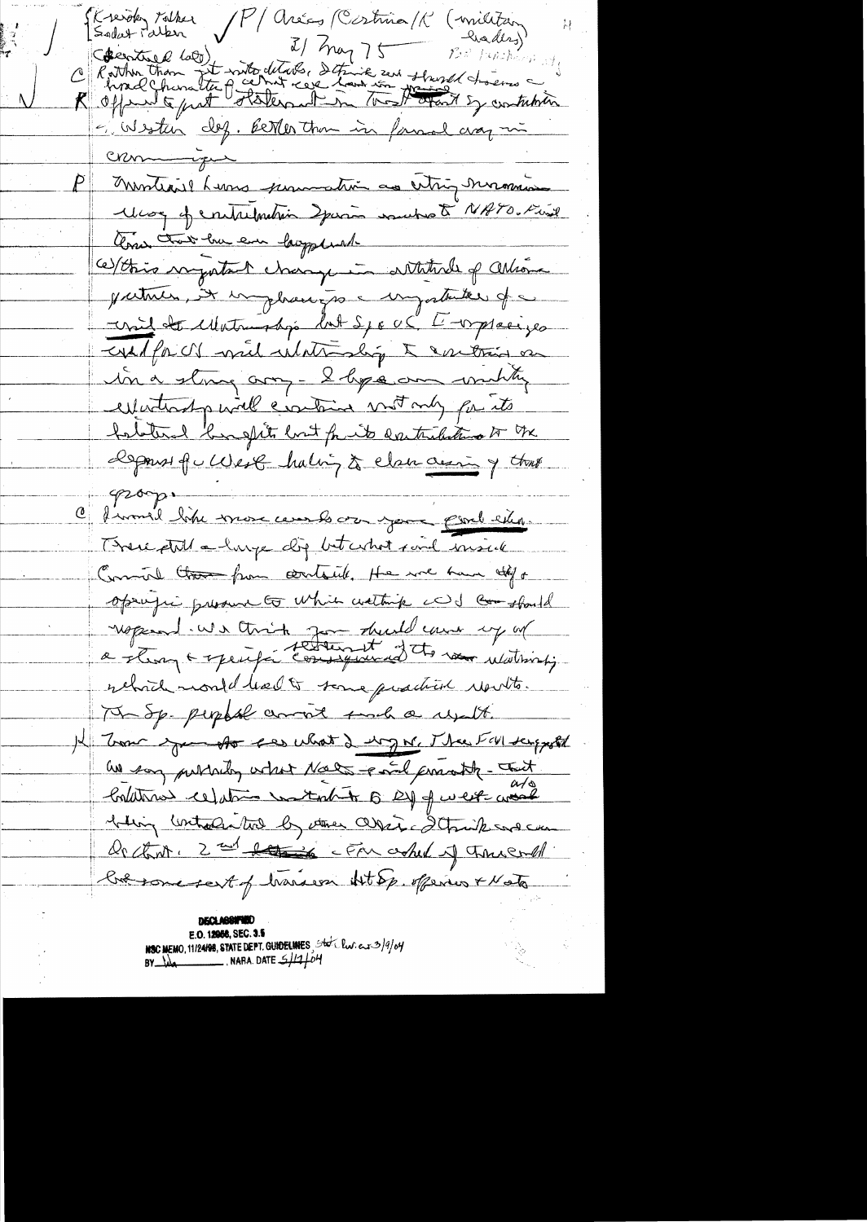N/ Aréas (Costrua/K Skreigk tolker (militan haders) Commentar de la Commentar détailes de trois de la procession de la marine de la maison de la maison de la maison de la maison de la maison de la maison de la maison de la maison de la maison de la maison de la maison de la Si Wester dez. Berker than in famme aray min <u>Crommique</u> Montiarel Luns permetin au citier monsion Was of entremetin Spaces makes & NATO. Find Come that he em lauppland ce/this ragatant change in attitude of attorne patrices, it impleases a importante of a usil de Matriobio lat Space l'impresion wilfr or will what why to contrain on in a strong any - I hope am unity expectication will crowtain motomy for its foldered burghts but for its deretributions of the Depouse qu'Ules la loi à clan aurig tous prop. C firmal like more cembre your pour l'esterne There still a large dig bet what said inside Comment that from containte, the wie have off of openific presence to which wathing cod comstand ropeand we think you double and up of rebid month had to some quaction results. Ma Sp. people comment sunch a result. I Tom you to see what I try W. Thee FIN temporal as say publishing what Noels - and consolt - Tout Conditions ceptions wanted to By of west world believe controlation by atthe correct details and can Or chart, 2 nd det is cFM asked of these and but some sent of handern Htop offering & Note

**DECLABRITED** E.O. 12956, SEC. 3.5 NSC MEMO, 11/24/98, STATE DEPT. GUIDELINES, State Pw. ers 3/9/04  $BV$   $\frac{1}{4}$  NARA. DATE  $\frac{1}{4}$  o<sup>1</sup>